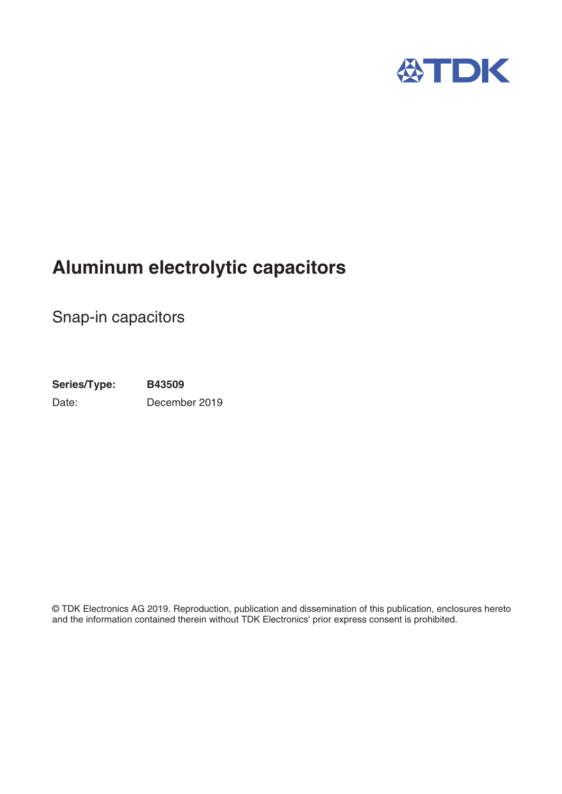

# **Aluminum electrolytic capacitors**

Snap-in capacitors

**Series/Type: B43509** Date: December 2019

© TDK Electronics AG 2019. Reproduction, publication and dissemination of this publication, enclosures hereto and the information contained therein without TDK Electronics' prior express consent is prohibited.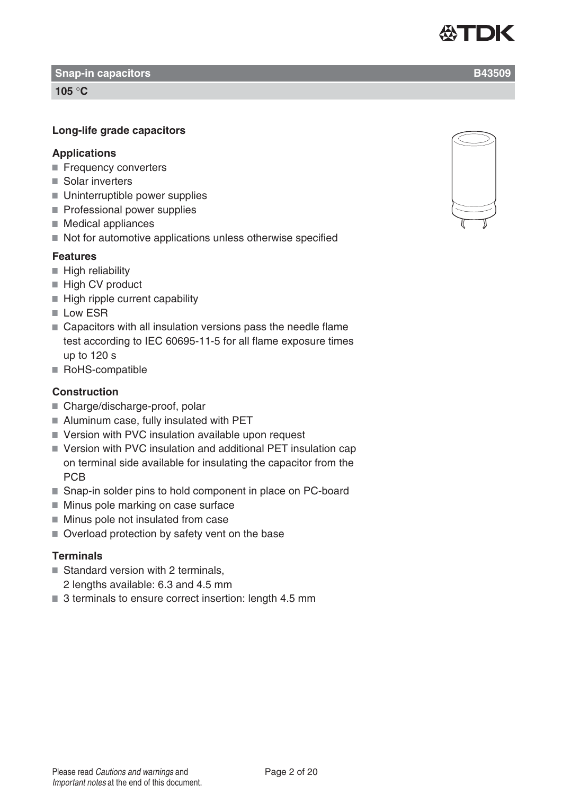**Snap-in capacitors B43509** 

**105** °**C**

# **Long-life grade capacitors**

# **Applications**

- Frequency converters
- Solar inverters
- Uninterruptible power supplies
- Professional power supplies
- $\blacksquare$  Medical appliances
- $\blacksquare$  Not for automotive applications unless otherwise specified

# **Features**

- $\blacksquare$  High reliability
- High CV product
- $\blacksquare$  High ripple current capability
- **Low ESR**
- Capacitors with all insulation versions pass the needle flame test according to IEC 60695-11-5 for all flame exposure times up to 120 s
- RoHS-compatible

# **Construction**

- Charge/discharge-proof, polar
- Aluminum case, fully insulated with PET
- Version with PVC insulation available upon request
- Version with PVC insulation and additional PET insulation cap on terminal side available for insulating the capacitor from the **PCB**
- Snap-in solder pins to hold component in place on PC-board
- **Minus pole marking on case surface**
- **Minus pole not insulated from case**
- Overload protection by safety vent on the base

# **Terminals**

- Standard version with 2 terminals,
	- 2 lengths available: 6.3 and 4.5 mm
- 3 terminals to ensure correct insertion: length 4.5 mm



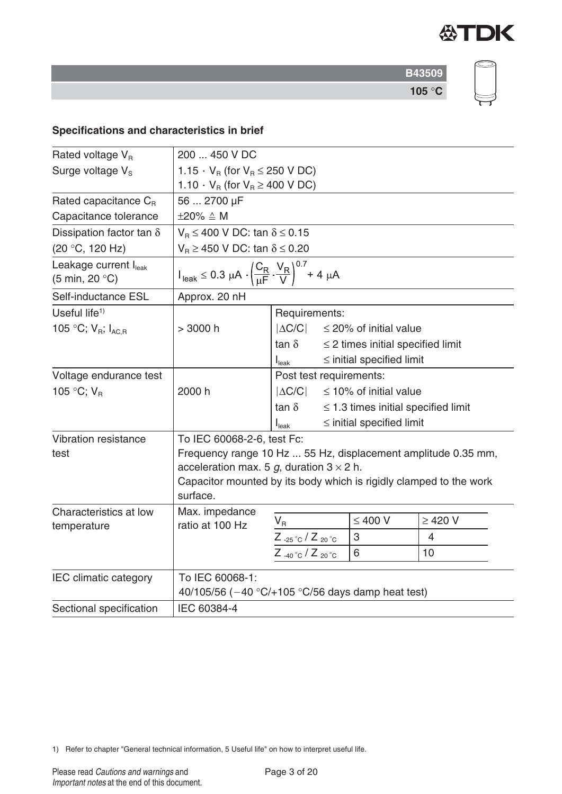

# **Specifications and characteristics in brief**

| Rated voltage $V_R$                                                  | 200  450 V DC                                                                                                |                                    |  |                                          |              |  |  |
|----------------------------------------------------------------------|--------------------------------------------------------------------------------------------------------------|------------------------------------|--|------------------------------------------|--------------|--|--|
| Surge voltage $V_s$                                                  | 1.15 $\cdot$ V <sub>B</sub> (for V <sub>B</sub> $\leq$ 250 V DC)                                             |                                    |  |                                          |              |  |  |
|                                                                      | 1.10 $\cdot$ V <sub>R</sub> (for V <sub>R</sub> $\geq$ 400 V DC)                                             |                                    |  |                                          |              |  |  |
| Rated capacitance $C_{B}$                                            | 56  2700 µF                                                                                                  |                                    |  |                                          |              |  |  |
| Capacitance tolerance                                                | $\pm 20\% \triangleq M$                                                                                      |                                    |  |                                          |              |  |  |
| Dissipation factor tan $\delta$                                      | $V_B \le 400$ V DC: tan $\delta \le 0.15$                                                                    |                                    |  |                                          |              |  |  |
| (20 °C, 120 Hz)                                                      | $V_B \ge 450$ V DC: tan $\delta \le 0.20$                                                                    |                                    |  |                                          |              |  |  |
| Leakage current I <sub>leak</sub><br>$(5 \text{ min}, 20 \degree C)$ | $I_{\text{leak}} \le 0.3 \ \mu A \cdot \left(\frac{C_R}{\mu F} \cdot \frac{V_R}{V}\right)^{0.7} + 4 \ \mu A$ |                                    |  |                                          |              |  |  |
| Self-inductance ESL                                                  | Approx. 20 nH                                                                                                |                                    |  |                                          |              |  |  |
| Useful life <sup>1)</sup>                                            |                                                                                                              | Requirements:                      |  |                                          |              |  |  |
| 105 °C; $V_{B}$ ; $I_{ACB}$                                          | > 3000 h                                                                                                     | $ \Delta C/C $                     |  | $\leq$ 20% of initial value              |              |  |  |
|                                                                      |                                                                                                              | $tan \delta$                       |  | $\leq$ 2 times initial specified limit   |              |  |  |
|                                                                      |                                                                                                              | $I_{\text{leak}}$                  |  | $\le$ initial specified limit            |              |  |  |
| Voltage endurance test                                               |                                                                                                              | Post test requirements:            |  |                                          |              |  |  |
| 105 °C; $V_R$                                                        | 2000 h                                                                                                       | $ \Delta C/C $                     |  | $\leq$ 10% of initial value              |              |  |  |
|                                                                      |                                                                                                              | $tan \delta$                       |  | $\leq$ 1.3 times initial specified limit |              |  |  |
|                                                                      |                                                                                                              | I <sub>leak</sub>                  |  | $\le$ initial specified limit            |              |  |  |
| Vibration resistance                                                 | To IEC 60068-2-6, test Fc:                                                                                   |                                    |  |                                          |              |  |  |
| test                                                                 | Frequency range 10 Hz  55 Hz, displacement amplitude 0.35 mm,                                                |                                    |  |                                          |              |  |  |
|                                                                      | acceleration max. 5 g, duration $3 \times 2$ h.                                                              |                                    |  |                                          |              |  |  |
|                                                                      | Capacitor mounted by its body which is rigidly clamped to the work<br>surface.                               |                                    |  |                                          |              |  |  |
| Characteristics at low                                               | Max. impedance                                                                                               |                                    |  | $\leq 400$ V                             | $\geq$ 420 V |  |  |
| temperature                                                          | ratio at 100 Hz                                                                                              | $\mathsf{V}_\mathsf{R}$            |  | 3                                        |              |  |  |
|                                                                      |                                                                                                              | $Z_{-25\degree C}/Z_{20\degree C}$ |  |                                          | 4            |  |  |
|                                                                      |                                                                                                              | $Z_{-40\degree}C/Z_{20\degree}C$   |  | 6                                        | 10           |  |  |
| <b>IEC</b> climatic category                                         | To IEC 60068-1:                                                                                              |                                    |  |                                          |              |  |  |
|                                                                      | 40/105/56 ( $-40$ °C/ $+105$ °C/56 days damp heat test)                                                      |                                    |  |                                          |              |  |  |
| Sectional specification                                              | IEC 60384-4                                                                                                  |                                    |  |                                          |              |  |  |

1) Refer to chapter "General technical information, 5 Useful life" on how to interpret useful life.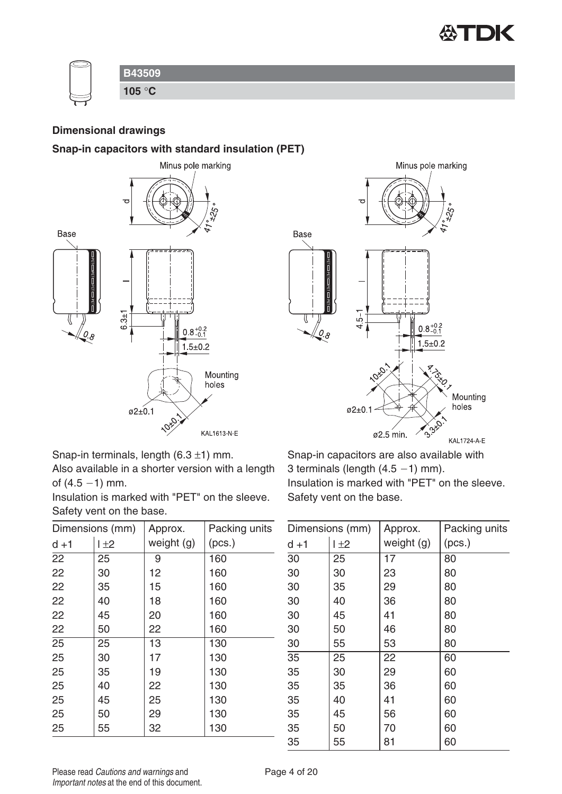

| <b>B43509</b> |
|---------------|
| 105 °C        |

#### **Dimensional drawings**

#### **Snap-in capacitors with standard insulation (PET)**





Snap-in terminals, length  $(6.3 \pm 1)$  mm.

Also available in a shorter version with a length of  $(4.5 - 1)$  mm.

Insulation is marked with "PET" on the sleeve. Safety vent on the base.

| Dimensions (mm) |     | Approx.    | Packing units |
|-----------------|-----|------------|---------------|
| $d + 1$         | 1±2 | weight (g) | (pcs.)        |
| $\overline{22}$ | 25  | 9          | 160           |
| 22              | 30  | 12         | 160           |
| 22              | 35  | 15         | 160           |
| 22              | 40  | 18         | 160           |
| 22              | 45  | 20         | 160           |
| 22              | 50  | 22         | 160           |
| $\overline{25}$ | 25  | 13         | 130           |
| 25              | 30  | 17         | 130           |
| 25              | 35  | 19         | 130           |
| 25              | 40  | 22         | 130           |
| 25              | 45  | 25         | 130           |
| 25              | 50  | 29         | 130           |
| 25              | 55  | 32         | 130           |

Snap-in capacitors are also available with 3 terminals (length  $(4.5 - 1)$  mm). Insulation is marked with "PET" on the sleeve. Safety vent on the base.

| Dimensions (mm) |     | Approx.    | Packing units |
|-----------------|-----|------------|---------------|
| $d + 1$         | 1±2 | weight (g) | (pcs.)        |
| $\overline{30}$ | 25  | 17         | 80            |
| 30              | 30  | 23         | 80            |
| 30              | 35  | 29         | 80            |
| 30              | 40  | 36         | 80            |
| 30              | 45  | 41         | 80            |
| 30              | 50  | 46         | 80            |
| 30              | 55  | 53         | 80            |
| 35              | 25  | 22         | 60            |
| 35              | 30  | 29         | 60            |
| 35              | 35  | 36         | 60            |
| 35              | 40  | 41         | 60            |
| 35              | 45  | 56         | 60            |
| 35              | 50  | 70         | 60            |
| 35              | 55  | 81         | 60            |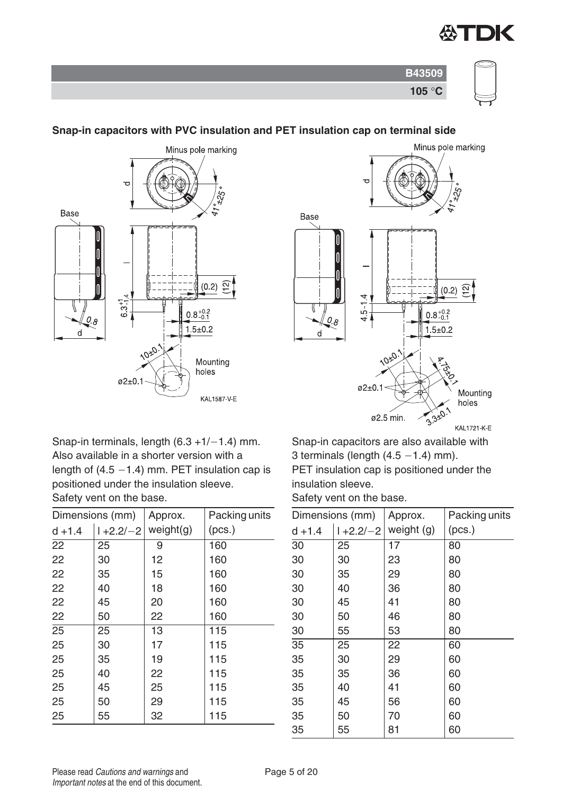

| $L \cup$ |  |
|----------|--|



### **Snap-in capacitors with PVC insulation and PET insulation cap on terminal side**



KAL1721-K-E

Snap-in terminals, length  $(6.3 + 1/-1.4)$  mm. Also available in a shorter version with a length of  $(4.5 - 1.4)$  mm. PET insulation cap is positioned under the insulation sleeve. Safety vent on the base.

| Dimensions (mm) |               | Approx.   | Packing units |
|-----------------|---------------|-----------|---------------|
| $d + 1.4$       | $1 + 2.2 - 2$ | weight(g) | (pcs.)        |
| 22              | 25            | 9         | 160           |
| 22              | 30            | 12        | 160           |
| 22              | 35            | 15        | 160           |
| 22              | 40            | 18        | 160           |
| 22              | 45            | 20        | 160           |
| 22              | 50            | 22        | 160           |
| $\overline{25}$ | 25            | 13        | 115           |
| 25              | 30            | 17        | 115           |
| 25              | 35            | 19        | 115           |
| 25              | 40            | 22        | 115           |
| 25              | 45            | 25        | 115           |
| 25              | 50            | 29        | 115           |
| 25              | 55            | 32        | 115           |

Snap-in capacitors are also available with 3 terminals (length  $(4.5 - 1.4)$  mm).

PET insulation cap is positioned under the insulation sleeve.

Safety vent on the base.

| Dimensions (mm) |               | Approx.    | Packing units |
|-----------------|---------------|------------|---------------|
| $d + 1.4$       | $1 + 2.2 - 2$ | weight (g) | (pcs.)        |
| 30              | 25            | 17         | 80            |
| 30              | 30            | 23         | 80            |
| 30              | 35            | 29         | 80            |
| 30              | 40            | 36         | 80            |
| 30              | 45            | 41         | 80            |
| 30              | 50            | 46         | 80            |
| 30              | 55            | 53         | 80            |
| 35              | 25            | 22         | 60            |
| 35              | 30            | 29         | 60            |
| 35              | 35            | 36         | 60            |
| 35              | 40            | 41         | 60            |
| 35              | 45            | 56         | 60            |
| 35              | 50            | 70         | 60            |
| 35              | 55            | 81         | 60            |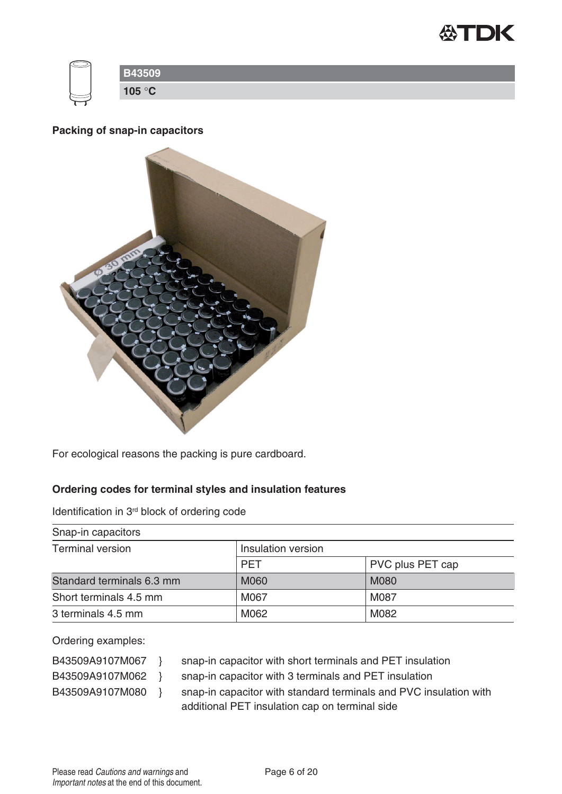

| ∼               |
|-----------------|
| 105 $\degree$ C |

### **Packing of snap-in capacitors**



For ecological reasons the packing is pure cardboard.

### **Ordering codes for terminal styles and insulation features**

Identification in 3rd block of ordering code

| Snap-in capacitors        |                    |                  |  |  |  |  |
|---------------------------|--------------------|------------------|--|--|--|--|
| <b>Terminal version</b>   | Insulation version |                  |  |  |  |  |
|                           | <b>PET</b>         | PVC plus PET cap |  |  |  |  |
| Standard terminals 6.3 mm | <b>M060</b>        | <b>M080</b>      |  |  |  |  |
| Short terminals 4.5 mm    | M067               | M087             |  |  |  |  |
| 3 terminals 4.5 mm        | M062               | M082             |  |  |  |  |

Ordering examples:

- 
- B43509A9107M067 } snap-in capacitor with short terminals and PET insulation
- 
- B43509A9107M062 } snap-in capacitor with 3 terminals and PET insulation
- 
- B43509A9107M080 } snap-in capacitor with standard terminals and PVC insulation with additional PET insulation cap on terminal side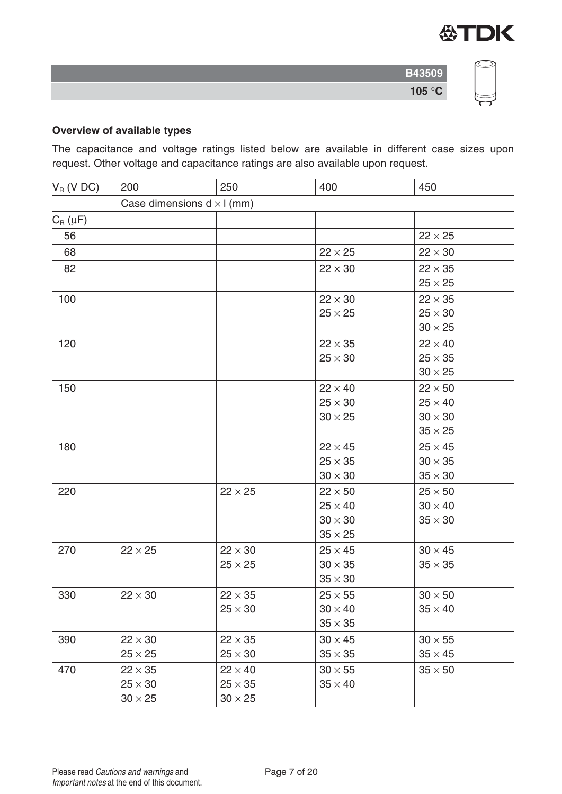

# **Overview of available types**

The capacitance and voltage ratings listed below are available in different case sizes upon request. Other voltage and capacitance ratings are also available upon request.

| $V_R$ (V DC) | 200                               | 250            | 400            | 450            |  |  |
|--------------|-----------------------------------|----------------|----------------|----------------|--|--|
|              | Case dimensions $d \times l$ (mm) |                |                |                |  |  |
| $C_R(\mu F)$ |                                   |                |                |                |  |  |
| 56           |                                   |                |                | $22 \times 25$ |  |  |
| 68           |                                   |                | $22 \times 25$ | $22 \times 30$ |  |  |
| 82           |                                   |                | $22 \times 30$ | $22 \times 35$ |  |  |
|              |                                   |                |                | $25 \times 25$ |  |  |
| 100          |                                   |                | $22 \times 30$ | $22 \times 35$ |  |  |
|              |                                   |                | $25 \times 25$ | $25 \times 30$ |  |  |
|              |                                   |                |                | $30 \times 25$ |  |  |
| 120          |                                   |                | $22 \times 35$ | $22 \times 40$ |  |  |
|              |                                   |                | $25 \times 30$ | $25 \times 35$ |  |  |
|              |                                   |                |                | $30 \times 25$ |  |  |
| 150          |                                   |                | $22 \times 40$ | $22 \times 50$ |  |  |
|              |                                   |                | $25 \times 30$ | $25 \times 40$ |  |  |
|              |                                   |                | $30 \times 25$ | $30 \times 30$ |  |  |
|              |                                   |                |                | $35 \times 25$ |  |  |
| 180          |                                   |                | $22 \times 45$ | $25 \times 45$ |  |  |
|              |                                   |                | $25 \times 35$ | $30 \times 35$ |  |  |
|              |                                   |                | $30 \times 30$ | $35 \times 30$ |  |  |
| 220          |                                   | $22 \times 25$ | $22 \times 50$ | $25 \times 50$ |  |  |
|              |                                   |                | $25 \times 40$ | $30 \times 40$ |  |  |
|              |                                   |                | $30 \times 30$ | $35 \times 30$ |  |  |
|              |                                   |                | $35 \times 25$ |                |  |  |
| 270          | $22 \times 25$                    | $22 \times 30$ | $25 \times 45$ | $30 \times 45$ |  |  |
|              |                                   | $25 \times 25$ | $30 \times 35$ | $35 \times 35$ |  |  |
|              |                                   |                | $35 \times 30$ |                |  |  |
| 330          | $22 \times 30$                    | $22 \times 35$ | $25 \times 55$ | $30 \times 50$ |  |  |
|              |                                   | $25 \times 30$ | $30 \times 40$ | $35 \times 40$ |  |  |
|              |                                   |                | $35 \times 35$ |                |  |  |
| 390          | $22 \times 30$                    | $22 \times 35$ | $30 \times 45$ | $30 \times 55$ |  |  |
|              | $25 \times 25$                    | $25 \times 30$ | $35 \times 35$ | $35 \times 45$ |  |  |
| 470          | $22 \times 35$                    | $22 \times 40$ | $30 \times 55$ | $35 \times 50$ |  |  |
|              | $25 \times 30$                    | $25 \times 35$ | $35 \times 40$ |                |  |  |
|              | $30 \times 25$                    | $30 \times 25$ |                |                |  |  |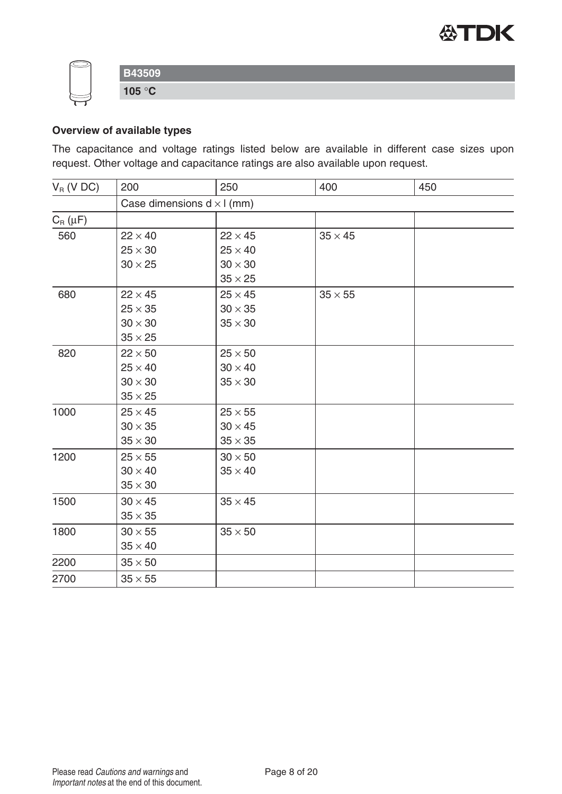



# **Overview of available types**

The capacitance and voltage ratings listed below are available in different case sizes upon request. Other voltage and capacitance ratings are also available upon request.

| $V_R$ (V DC) | 200                               | 250            | 400            | 450 |  |  |  |  |
|--------------|-----------------------------------|----------------|----------------|-----|--|--|--|--|
|              | Case dimensions $d \times l$ (mm) |                |                |     |  |  |  |  |
| $C_R(\mu F)$ |                                   |                |                |     |  |  |  |  |
| 560          | $22 \times 40$                    | $22 \times 45$ | $35 \times 45$ |     |  |  |  |  |
|              | $25 \times 30$                    | $25 \times 40$ |                |     |  |  |  |  |
|              | $30 \times 25$                    | $30 \times 30$ |                |     |  |  |  |  |
|              |                                   | $35 \times 25$ |                |     |  |  |  |  |
| 680          | $22 \times 45$                    | $25 \times 45$ | $35 \times 55$ |     |  |  |  |  |
|              | $25 \times 35$                    | $30 \times 35$ |                |     |  |  |  |  |
|              | $30 \times 30$                    | $35 \times 30$ |                |     |  |  |  |  |
|              | $35 \times 25$                    |                |                |     |  |  |  |  |
| 820          | $22 \times 50$                    | $25 \times 50$ |                |     |  |  |  |  |
|              | $25 \times 40$                    | $30 \times 40$ |                |     |  |  |  |  |
|              | $30 \times 30$                    | $35 \times 30$ |                |     |  |  |  |  |
|              | $35 \times 25$                    |                |                |     |  |  |  |  |
| 1000         | $25 \times 45$                    | $25 \times 55$ |                |     |  |  |  |  |
|              | $30 \times 35$                    | $30 \times 45$ |                |     |  |  |  |  |
|              | $35 \times 30$                    | $35\times35$   |                |     |  |  |  |  |
| 1200         | $25 \times 55$                    | $30 \times 50$ |                |     |  |  |  |  |
|              | $30 \times 40$                    | $35 \times 40$ |                |     |  |  |  |  |
|              | $35 \times 30$                    |                |                |     |  |  |  |  |
| 1500         | $30 \times 45$                    | $35 \times 45$ |                |     |  |  |  |  |
|              | $35 \times 35$                    |                |                |     |  |  |  |  |
| 1800         | $30 \times 55$                    | $35 \times 50$ |                |     |  |  |  |  |
|              | $35 \times 40$                    |                |                |     |  |  |  |  |
| 2200         | $35 \times 50$                    |                |                |     |  |  |  |  |
| 2700         | $35 \times 55$                    |                |                |     |  |  |  |  |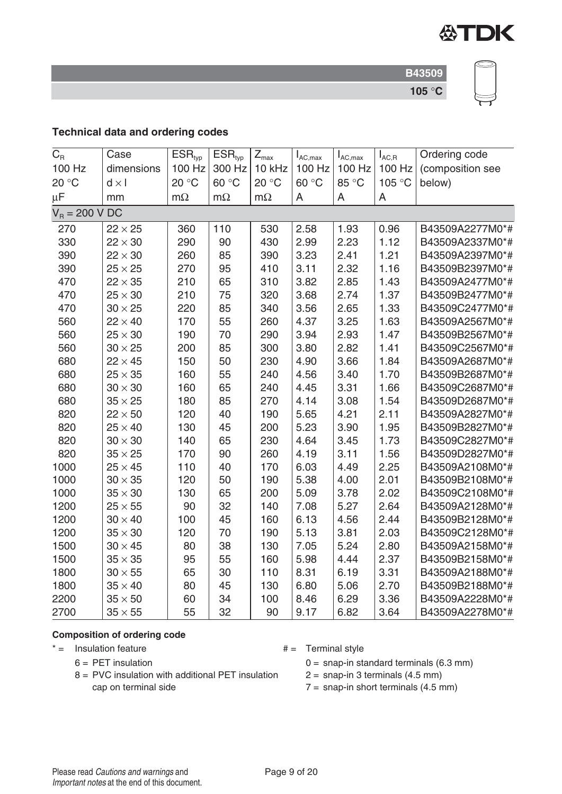

# **Technical data and ordering codes**

| $C_{R}$          | Case           | ESR <sub>typ</sub> | ESR <sub>typ</sub> | $Z_{\text{max}}$ | $I_{AC,max}$ | $I_{AC,max}$ | $I_{AC,R}$ | Ordering code    |
|------------------|----------------|--------------------|--------------------|------------------|--------------|--------------|------------|------------------|
| 100 Hz           | dimensions     | 100 Hz             | 300 Hz             | 10 kHz           | 100 Hz       | 100 Hz       | 100 Hz     | (composition see |
| 20 °C            | $d \times l$   | 20 °C              | 60 °C              | 20 °C            | 60 °C        | 85 °C        | 105 °C     | below)           |
| $\mu$ F          | mm             | $m\Omega$          | $m\Omega$          | $m\Omega$        | A            | A            | A          |                  |
| $V_R = 200 V DC$ |                |                    |                    |                  |              |              |            |                  |
| 270              | $22 \times 25$ | 360                | 110                | 530              | 2.58         | 1.93         | 0.96       | B43509A2277M0*#  |
| 330              | $22 \times 30$ | 290                | 90                 | 430              | 2.99         | 2.23         | 1.12       | B43509A2337M0*#  |
| 390              | $22 \times 30$ | 260                | 85                 | 390              | 3.23         | 2.41         | 1.21       | B43509A2397M0*#  |
| 390              | $25 \times 25$ | 270                | 95                 | 410              | 3.11         | 2.32         | 1.16       | B43509B2397M0*#  |
| 470              | $22 \times 35$ | 210                | 65                 | 310              | 3.82         | 2.85         | 1.43       | B43509A2477M0*#  |
| 470              | $25 \times 30$ | 210                | 75                 | 320              | 3.68         | 2.74         | 1.37       | B43509B2477M0*#  |
| 470              | $30 \times 25$ | 220                | 85                 | 340              | 3.56         | 2.65         | 1.33       | B43509C2477M0*#  |
| 560              | $22 \times 40$ | 170                | 55                 | 260              | 4.37         | 3.25         | 1.63       | B43509A2567M0*#  |
| 560              | $25 \times 30$ | 190                | 70                 | 290              | 3.94         | 2.93         | 1.47       | B43509B2567M0*#  |
| 560              | $30 \times 25$ | 200                | 85                 | 300              | 3.80         | 2.82         | 1.41       | B43509C2567M0*#  |
| 680              | $22 \times 45$ | 150                | 50                 | 230              | 4.90         | 3.66         | 1.84       | B43509A2687M0*#  |
| 680              | $25 \times 35$ | 160                | 55                 | 240              | 4.56         | 3.40         | 1.70       | B43509B2687M0*#  |
| 680              | $30 \times 30$ | 160                | 65                 | 240              | 4.45         | 3.31         | 1.66       | B43509C2687M0*#  |
| 680              | $35 \times 25$ | 180                | 85                 | 270              | 4.14         | 3.08         | 1.54       | B43509D2687M0*#  |
| 820              | $22 \times 50$ | 120                | 40                 | 190              | 5.65         | 4.21         | 2.11       | B43509A2827M0*#  |
| 820              | $25 \times 40$ | 130                | 45                 | 200              | 5.23         | 3.90         | 1.95       | B43509B2827M0*#  |
| 820              | $30 \times 30$ | 140                | 65                 | 230              | 4.64         | 3.45         | 1.73       | B43509C2827M0*#  |
| 820              | $35 \times 25$ | 170                | 90                 | 260              | 4.19         | 3.11         | 1.56       | B43509D2827M0*#  |
| 1000             | $25 \times 45$ | 110                | 40                 | 170              | 6.03         | 4.49         | 2.25       | B43509A2108M0*#  |
| 1000             | $30 \times 35$ | 120                | 50                 | 190              | 5.38         | 4.00         | 2.01       | B43509B2108M0*#  |
| 1000             | $35 \times 30$ | 130                | 65                 | 200              | 5.09         | 3.78         | 2.02       | B43509C2108M0*#  |
| 1200             | $25 \times 55$ | 90                 | 32                 | 140              | 7.08         | 5.27         | 2.64       | B43509A2128M0*#  |
| 1200             | $30 \times 40$ | 100                | 45                 | 160              | 6.13         | 4.56         | 2.44       | B43509B2128M0*#  |
| 1200             | $35 \times 30$ | 120                | 70                 | 190              | 5.13         | 3.81         | 2.03       | B43509C2128M0*#  |
| 1500             | $30 \times 45$ | 80                 | 38                 | 130              | 7.05         | 5.24         | 2.80       | B43509A2158M0*#  |
| 1500             | $35 \times 35$ | 95                 | 55                 | 160              | 5.98         | 4.44         | 2.37       | B43509B2158M0*#  |
| 1800             | $30 \times 55$ | 65                 | 30                 | 110              | 8.31         | 6.19         | 3.31       | B43509A2188M0*#  |
| 1800             | $35 \times 40$ | 80                 | 45                 | 130              | 6.80         | 5.06         | 2.70       | B43509B2188M0*#  |
| 2200             | $35 \times 50$ | 60                 | 34                 | 100              | 8.46         | 6.29         | 3.36       | B43509A2228M0*#  |
| 2700             | $35 \times 55$ | 55                 | 32                 | 90               | 9.17         | 6.82         | 3.64       | B43509A2278M0*#  |

#### **Composition of ordering code**

 $* =$  Insulation feature  $* =$  Terminal style

- $6 = PET$  insulation
- 8 = PVC insulation with additional PET insulation cap on terminal side
- 

 $0 =$  snap-in standard terminals (6.3 mm)

- $2 =$  snap-in 3 terminals (4.5 mm)
- $7 =$  snap-in short terminals (4.5 mm)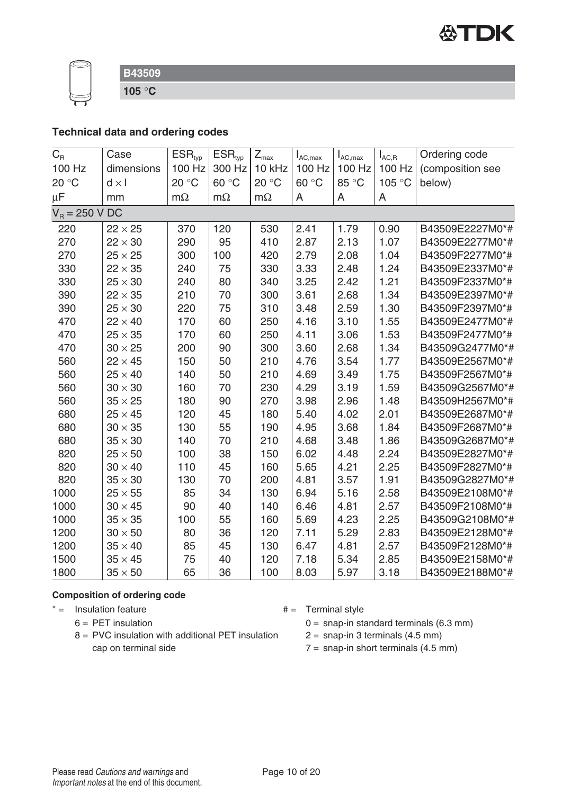

**105** °**C**

# **Technical data and ordering codes**

| $C_{\mbox{\tiny R}}$ | Case           | $ESR_{typ}$ | ESR <sub>typ</sub> | $Z_{\text{max}}$ | $I_{AC,max}$ | $I_{AC,max}$ | $I_{AC,R}$ | Ordering code    |
|----------------------|----------------|-------------|--------------------|------------------|--------------|--------------|------------|------------------|
| 100 Hz               | dimensions     | 100 Hz      | 300 Hz             | 10 kHz           | 100 Hz       | 100 Hz       | 100 Hz     | (composition see |
| 20 °C                | $d \times I$   | 20 °C       | 60 °C              | 20 °C            | 60 °C        | 85 °C        | 105 °C     | below)           |
| $\mu$ F              | mm             | $m\Omega$   | $m\Omega$          | $m\Omega$        | A            | A            | A          |                  |
| $V_R = 250 V DC$     |                |             |                    |                  |              |              |            |                  |
| 220                  | $22 \times 25$ | 370         | 120                | 530              | 2.41         | 1.79         | 0.90       | B43509E2227M0*#  |
| 270                  | $22 \times 30$ | 290         | 95                 | 410              | 2.87         | 2.13         | 1.07       | B43509E2277M0*#  |
| 270                  | $25 \times 25$ | 300         | 100                | 420              | 2.79         | 2.08         | 1.04       | B43509F2277M0*#  |
| 330                  | $22 \times 35$ | 240         | 75                 | 330              | 3.33         | 2.48         | 1.24       | B43509E2337M0*#  |
| 330                  | $25 \times 30$ | 240         | 80                 | 340              | 3.25         | 2.42         | 1.21       | B43509F2337M0*#  |
| 390                  | $22 \times 35$ | 210         | 70                 | 300              | 3.61         | 2.68         | 1.34       | B43509E2397M0*#  |
| 390                  | $25 \times 30$ | 220         | 75                 | 310              | 3.48         | 2.59         | 1.30       | B43509F2397M0*#  |
| 470                  | $22 \times 40$ | 170         | 60                 | 250              | 4.16         | 3.10         | 1.55       | B43509E2477M0*#  |
| 470                  | $25 \times 35$ | 170         | 60                 | 250              | 4.11         | 3.06         | 1.53       | B43509F2477M0*#  |
| 470                  | $30 \times 25$ | 200         | 90                 | 300              | 3.60         | 2.68         | 1.34       | B43509G2477M0*#  |
| 560                  | $22 \times 45$ | 150         | 50                 | 210              | 4.76         | 3.54         | 1.77       | B43509E2567M0*#  |
| 560                  | $25 \times 40$ | 140         | 50                 | 210              | 4.69         | 3.49         | 1.75       | B43509F2567M0*#  |
| 560                  | $30 \times 30$ | 160         | 70                 | 230              | 4.29         | 3.19         | 1.59       | B43509G2567M0*#  |
| 560                  | $35 \times 25$ | 180         | 90                 | 270              | 3.98         | 2.96         | 1.48       | B43509H2567M0*#  |
| 680                  | $25 \times 45$ | 120         | 45                 | 180              | 5.40         | 4.02         | 2.01       | B43509E2687M0*#  |
| 680                  | $30 \times 35$ | 130         | 55                 | 190              | 4.95         | 3.68         | 1.84       | B43509F2687M0*#  |
| 680                  | $35 \times 30$ | 140         | 70                 | 210              | 4.68         | 3.48         | 1.86       | B43509G2687M0*#  |
| 820                  | $25 \times 50$ | 100         | 38                 | 150              | 6.02         | 4.48         | 2.24       | B43509E2827M0*#  |
| 820                  | $30 \times 40$ | 110         | 45                 | 160              | 5.65         | 4.21         | 2.25       | B43509F2827M0*#  |
| 820                  | $35 \times 30$ | 130         | 70                 | 200              | 4.81         | 3.57         | 1.91       | B43509G2827M0*#  |
| 1000                 | $25 \times 55$ | 85          | 34                 | 130              | 6.94         | 5.16         | 2.58       | B43509E2108M0*#  |
| 1000                 | $30 \times 45$ | 90          | 40                 | 140              | 6.46         | 4.81         | 2.57       | B43509F2108M0*#  |
| 1000                 | $35 \times 35$ | 100         | 55                 | 160              | 5.69         | 4.23         | 2.25       | B43509G2108M0*#  |
| 1200                 | $30 \times 50$ | 80          | 36                 | 120              | 7.11         | 5.29         | 2.83       | B43509E2128M0*#  |
| 1200                 | $35 \times 40$ | 85          | 45                 | 130              | 6.47         | 4.81         | 2.57       | B43509F2128M0*#  |
| 1500                 | $35 \times 45$ | 75          | 40                 | 120              | 7.18         | 5.34         | 2.85       | B43509E2158M0*#  |
| 1800                 | $35 \times 50$ | 65          | 36                 | 100              | 8.03         | 5.97         | 3.18       | B43509E2188M0*#  |

#### **Composition of ordering code**

 $* =$  Insulation feature  $* =$  Terminal style

- $6 = PET$  insulation
- 8 = PVC insulation with additional PET insulation cap on terminal side
- - $0 =$  snap-in standard terminals (6.3 mm)
	- $2 =$  snap-in 3 terminals (4.5 mm)
	- $7 =$  snap-in short terminals  $(4.5 \text{ mm})$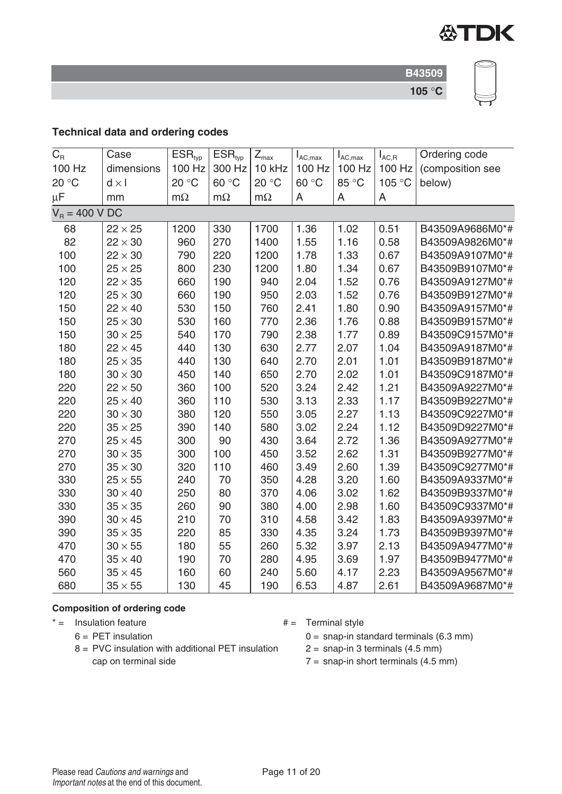

# **Technical data and ordering codes**

| $C_{R}$          | Case           | $ESR_{typ}$ | ESR <sub>typ</sub> | $Z_{\text{max}}$ | $I_{AC,max}$ | $I_{AC,max}$ | $I_{AC,R}$ | Ordering code    |
|------------------|----------------|-------------|--------------------|------------------|--------------|--------------|------------|------------------|
| 100 Hz           | dimensions     | 100 Hz      | 300 Hz             | 10 kHz           | 100 Hz       | 100 Hz       | 100 Hz     | (composition see |
| 20 °C            | $d \times l$   | 20 °C       | 60 °C              | 20 °C            | 60 °C        | 85 °C        | 105 °C     | below)           |
| $\mu$ F          | mm             | $m\Omega$   | $m\Omega$          | $m\Omega$        | A            | A            | A          |                  |
| $V_B = 400 V DC$ |                |             |                    |                  |              |              |            |                  |
| 68               | $22 \times 25$ | 1200        | 330                | 1700             | 1.36         | 1.02         | 0.51       | B43509A9686M0*#  |
| 82               | $22 \times 30$ | 960         | 270                | 1400             | 1.55         | 1.16         | 0.58       | B43509A9826M0*#  |
| 100              | $22 \times 30$ | 790         | 220                | 1200             | 1.78         | 1.33         | 0.67       | B43509A9107M0*#  |
| 100              | $25 \times 25$ | 800         | 230                | 1200             | 1.80         | 1.34         | 0.67       | B43509B9107M0*#  |
| 120              | $22 \times 35$ | 660         | 190                | 940              | 2.04         | 1.52         | 0.76       | B43509A9127M0*#  |
| 120              | $25 \times 30$ | 660         | 190                | 950              | 2.03         | 1.52         | 0.76       | B43509B9127M0*#  |
| 150              | $22 \times 40$ | 530         | 150                | 760              | 2.41         | 1.80         | 0.90       | B43509A9157M0*#  |
| 150              | $25 \times 30$ | 530         | 160                | 770              | 2.36         | 1.76         | 0.88       | B43509B9157M0*#  |
| 150              | $30 \times 25$ | 540         | 170                | 790              | 2.38         | 1.77         | 0.89       | B43509C9157M0*#  |
| 180              | $22 \times 45$ | 440         | 130                | 630              | 2.77         | 2.07         | 1.04       | B43509A9187M0*#  |
| 180              | $25 \times 35$ | 440         | 130                | 640              | 2.70         | 2.01         | 1.01       | B43509B9187M0*#  |
| 180              | $30 \times 30$ | 450         | 140                | 650              | 2.70         | 2.02         | 1.01       | B43509C9187M0*#  |
| 220              | $22 \times 50$ | 360         | 100                | 520              | 3.24         | 2.42         | 1.21       | B43509A9227M0*#  |
| 220              | $25 \times 40$ | 360         | 110                | 530              | 3.13         | 2.33         | 1.17       | B43509B9227M0*#  |
| 220              | $30 \times 30$ | 380         | 120                | 550              | 3.05         | 2.27         | 1.13       | B43509C9227M0*#  |
| 220              | $35 \times 25$ | 390         | 140                | 580              | 3.02         | 2.24         | 1.12       | B43509D9227M0*#  |
| 270              | $25 \times 45$ | 300         | 90                 | 430              | 3.64         | 2.72         | 1.36       | B43509A9277M0*#  |
| 270              | $30 \times 35$ | 300         | 100                | 450              | 3.52         | 2.62         | 1.31       | B43509B9277M0*#  |
| 270              | $35 \times 30$ | 320         | 110                | 460              | 3.49         | 2.60         | 1.39       | B43509C9277M0*#  |
| 330              | $25 \times 55$ | 240         | 70                 | 350              | 4.28         | 3.20         | 1.60       | B43509A9337M0*#  |
| 330              | $30 \times 40$ | 250         | 80                 | 370              | 4.06         | 3.02         | 1.62       | B43509B9337M0*#  |
| 330              | $35 \times 35$ | 260         | 90                 | 380              | 4.00         | 2.98         | 1.60       | B43509C9337M0*#  |
| 390              | $30 \times 45$ | 210         | 70                 | 310              | 4.58         | 3.42         | 1.83       | B43509A9397M0*#  |
| 390              | $35 \times 35$ | 220         | 85                 | 330              | 4.35         | 3.24         | 1.73       | B43509B9397M0*#  |
| 470              | $30 \times 55$ | 180         | 55                 | 260              | 5.32         | 3.97         | 2.13       | B43509A9477M0*#  |
| 470              | $35 \times 40$ | 190         | 70                 | 280              | 4.95         | 3.69         | 1.97       | B43509B9477M0*#  |
| 560              | $35 \times 45$ | 160         | 60                 | 240              | 5.60         | 4.17         | 2.23       | B43509A9567M0*#  |
| 680              | $35 \times 55$ | 130         | 45                 | 190              | 6.53         | 4.87         | 2.61       | B43509A9687M0*#  |

#### **Composition of ordering code**

 $* =$  Insulation feature  $* =$  Terminal style

- $6 = PET$  insulation
- 8 = PVC insulation with additional PET insulation cap on terminal side
- - $0 =$  snap-in standard terminals (6.3 mm)

 $2 =$  snap-in 3 terminals (4.5 mm)

 $7 =$  snap-in short terminals (4.5 mm)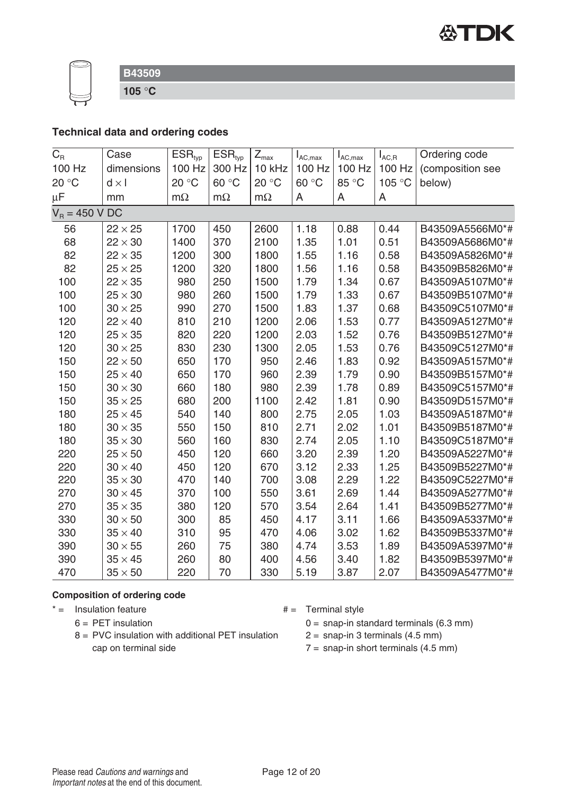

**105** °**C**

# **Technical data and ordering codes**

| $C_R$            | Case           | ESR <sub>typ</sub> | ESR <sub>typ</sub> | $Z_{\text{max}}$ | $I_{AC,max}$ | $I_{AC,max}$ | $I_{AC,R}$ | Ordering code    |
|------------------|----------------|--------------------|--------------------|------------------|--------------|--------------|------------|------------------|
| 100 Hz           | dimensions     | 100 Hz             | 300 Hz             | 10 kHz           | 100 Hz       | 100 Hz       | 100 Hz     | (composition see |
| 20 °C            | $d \times I$   | 20 °C              | 60 °C              | 20 °C            | 60 °C        | 85 °C        | 105 °C     | below)           |
| $\mu$ F          | mm             | $m\Omega$          | $m\Omega$          | $m\Omega$        | A            | A            | A          |                  |
| $V_R = 450 V DC$ |                |                    |                    |                  |              |              |            |                  |
| 56               | $22 \times 25$ | 1700               | 450                | 2600             | 1.18         | 0.88         | 0.44       | B43509A5566M0*#  |
| 68               | $22 \times 30$ | 1400               | 370                | 2100             | 1.35         | 1.01         | 0.51       | B43509A5686M0*#  |
| 82               | $22 \times 35$ | 1200               | 300                | 1800             | 1.55         | 1.16         | 0.58       | B43509A5826M0*#  |
| 82               | $25 \times 25$ | 1200               | 320                | 1800             | 1.56         | 1.16         | 0.58       | B43509B5826M0*#  |
| 100              | $22 \times 35$ | 980                | 250                | 1500             | 1.79         | 1.34         | 0.67       | B43509A5107M0*#  |
| 100              | $25 \times 30$ | 980                | 260                | 1500             | 1.79         | 1.33         | 0.67       | B43509B5107M0*#  |
| 100              | $30 \times 25$ | 990                | 270                | 1500             | 1.83         | 1.37         | 0.68       | B43509C5107M0*#  |
| 120              | $22 \times 40$ | 810                | 210                | 1200             | 2.06         | 1.53         | 0.77       | B43509A5127M0*#  |
| 120              | $25 \times 35$ | 820                | 220                | 1200             | 2.03         | 1.52         | 0.76       | B43509B5127M0*#  |
| 120              | $30 \times 25$ | 830                | 230                | 1300             | 2.05         | 1.53         | 0.76       | B43509C5127M0*#  |
| 150              | $22 \times 50$ | 650                | 170                | 950              | 2.46         | 1.83         | 0.92       | B43509A5157M0*#  |
| 150              | $25 \times 40$ | 650                | 170                | 960              | 2.39         | 1.79         | 0.90       | B43509B5157M0*#  |
| 150              | $30 \times 30$ | 660                | 180                | 980              | 2.39         | 1.78         | 0.89       | B43509C5157M0*#  |
| 150              | $35 \times 25$ | 680                | 200                | 1100             | 2.42         | 1.81         | 0.90       | B43509D5157M0*#  |
| 180              | $25 \times 45$ | 540                | 140                | 800              | 2.75         | 2.05         | 1.03       | B43509A5187M0*#  |
| 180              | $30 \times 35$ | 550                | 150                | 810              | 2.71         | 2.02         | 1.01       | B43509B5187M0*#  |
| 180              | $35 \times 30$ | 560                | 160                | 830              | 2.74         | 2.05         | 1.10       | B43509C5187M0*#  |
| 220              | $25 \times 50$ | 450                | 120                | 660              | 3.20         | 2.39         | 1.20       | B43509A5227M0*#  |
| 220              | $30 \times 40$ | 450                | 120                | 670              | 3.12         | 2.33         | 1.25       | B43509B5227M0*#  |
| 220              | $35 \times 30$ | 470                | 140                | 700              | 3.08         | 2.29         | 1.22       | B43509C5227M0*#  |
| 270              | $30 \times 45$ | 370                | 100                | 550              | 3.61         | 2.69         | 1.44       | B43509A5277M0*#  |
| 270              | $35 \times 35$ | 380                | 120                | 570              | 3.54         | 2.64         | 1.41       | B43509B5277M0*#  |
| 330              | $30 \times 50$ | 300                | 85                 | 450              | 4.17         | 3.11         | 1.66       | B43509A5337M0*#  |
| 330              | $35 \times 40$ | 310                | 95                 | 470              | 4.06         | 3.02         | 1.62       | B43509B5337M0*#  |
| 390              | $30 \times 55$ | 260                | 75                 | 380              | 4.74         | 3.53         | 1.89       | B43509A5397M0*#  |
| 390              | $35 \times 45$ | 260                | 80                 | 400              | 4.56         | 3.40         | 1.82       | B43509B5397M0*#  |
| 470              | $35 \times 50$ | 220                | 70                 | 330              | 5.19         | 3.87         | 2.07       | B43509A5477M0*#  |

#### **Composition of ordering code**

 $* =$  Insulation feature  $* =$  Terminal style

- $6 = PET$  insulation
- 8 = PVC insulation with additional PET insulation cap on terminal side
- - $0 =$  snap-in standard terminals (6.3 mm)
	- $2 =$  snap-in 3 terminals (4.5 mm)
	- $7 =$  snap-in short terminals  $(4.5 \text{ mm})$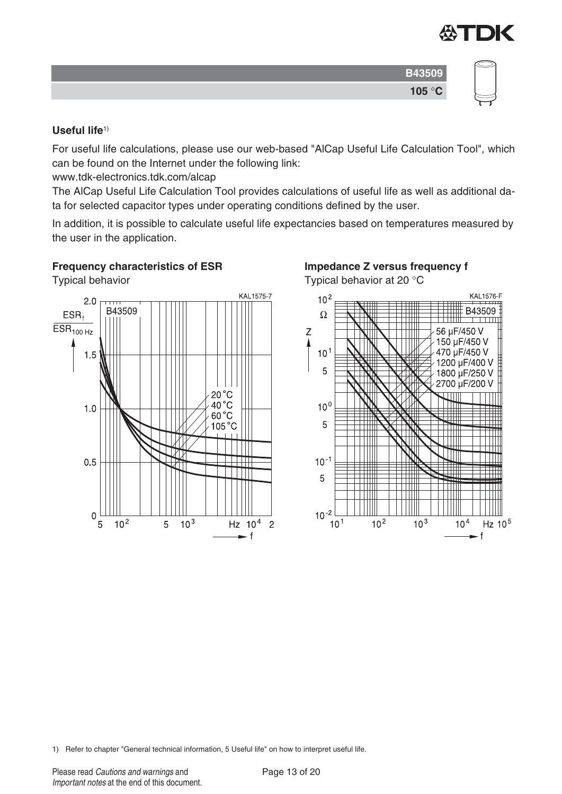

| ٠               |  |
|-----------------|--|
| 105 $\degree$ C |  |

#### **Useful life**1)

For useful life calculations, please use our web-based "AlCap Useful Life Calculation Tool", which can be found on the Internet under the following link:

www.tdk-electronics.tdk.com/alcap

The AlCap Useful Life Calculation Tool provides calculations of useful life as well as additional data for selected capacitor types under operating conditions defined by the user.

In addition, it is possible to calculate useful life expectancies based on temperatures measured by the user in the application.

### **Frequency characteristics of ESR**

Typical behavior



# **Impedance Z versus frequency f**

Typical behavior at 20 °C



1) Refer to chapter "General technical information, 5 Useful life" on how to interpret useful life.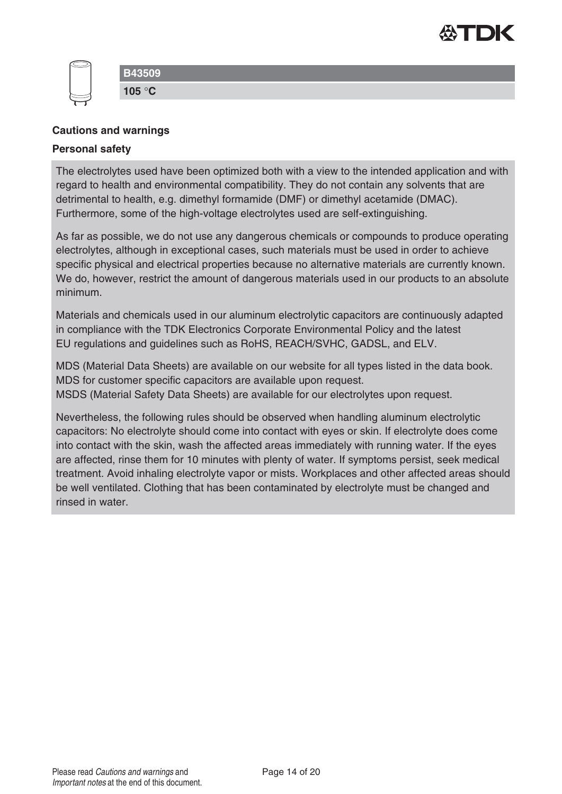

### **Cautions and warnings**

#### **Personal safety**

The electrolytes used have been optimized both with a view to the intended application and with regard to health and environmental compatibility. They do not contain any solvents that are detrimental to health, e.g. dimethyl formamide (DMF) or dimethyl acetamide (DMAC). Furthermore, some of the high-voltage electrolytes used are self-extinguishing.

As far as possible, we do not use any dangerous chemicals or compounds to produce operating electrolytes, although in exceptional cases, such materials must be used in order to achieve specific physical and electrical properties because no alternative materials are currently known. We do, however, restrict the amount of dangerous materials used in our products to an absolute minimum.

Materials and chemicals used in our aluminum electrolytic capacitors are continuously adapted in compliance with the TDK Electronics Corporate Environmental Policy and the latest EU regulations and guidelines such as RoHS, REACH/SVHC, GADSL, and ELV.

MDS (Material Data Sheets) are available on our website for all types listed in the data book. MDS for customer specific capacitors are available upon request. MSDS (Material Safety Data Sheets) are available for our electrolytes upon request.

Nevertheless, the following rules should be observed when handling aluminum electrolytic capacitors: No electrolyte should come into contact with eyes or skin. If electrolyte does come into contact with the skin, wash the affected areas immediately with running water. If the eyes are affected, rinse them for 10 minutes with plenty of water. If symptoms persist, seek medical treatment. Avoid inhaling electrolyte vapor or mists. Workplaces and other affected areas should be well ventilated. Clothing that has been contaminated by electrolyte must be changed and rinsed in water.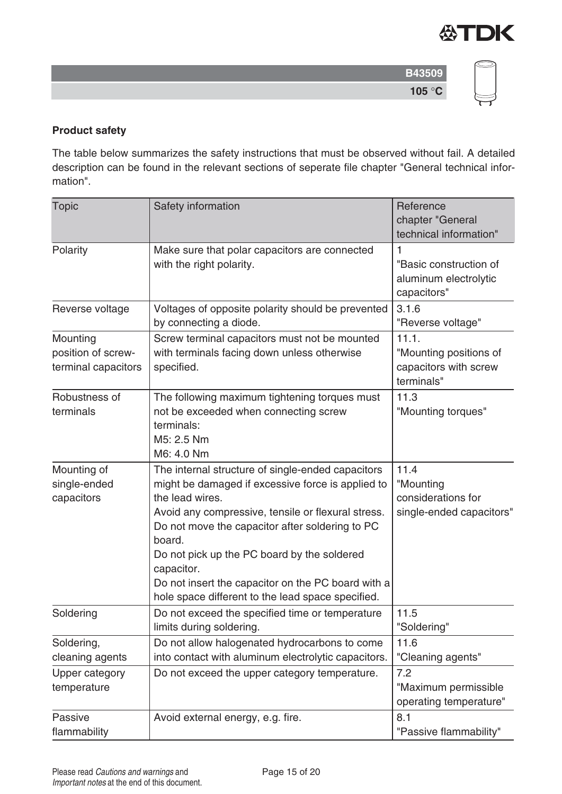

| e. |  |
|----|--|

# **Product safety**

The table below summarizes the safety instructions that must be observed without fail. A detailed description can be found in the relevant sections of seperate file chapter "General technical information".

| <b>Topic</b>                                          | Safety information                                                                                                                                                                                                                                                                                                                                                                                                   | Reference<br>chapter "General<br>technical information"                |
|-------------------------------------------------------|----------------------------------------------------------------------------------------------------------------------------------------------------------------------------------------------------------------------------------------------------------------------------------------------------------------------------------------------------------------------------------------------------------------------|------------------------------------------------------------------------|
| Polarity                                              | Make sure that polar capacitors are connected<br>with the right polarity.                                                                                                                                                                                                                                                                                                                                            | 1<br>"Basic construction of<br>aluminum electrolytic<br>capacitors"    |
| Reverse voltage                                       | Voltages of opposite polarity should be prevented<br>by connecting a diode.                                                                                                                                                                                                                                                                                                                                          | 3.1.6<br>"Reverse voltage"                                             |
| Mounting<br>position of screw-<br>terminal capacitors | Screw terminal capacitors must not be mounted<br>with terminals facing down unless otherwise<br>specified.                                                                                                                                                                                                                                                                                                           | 11.1.<br>"Mounting positions of<br>capacitors with screw<br>terminals" |
| Robustness of<br>terminals                            | The following maximum tightening torques must<br>not be exceeded when connecting screw<br>terminals:<br>M5: 2.5 Nm<br>M6: 4.0 Nm                                                                                                                                                                                                                                                                                     | 11.3<br>"Mounting torques"                                             |
| Mounting of<br>single-ended<br>capacitors             | The internal structure of single-ended capacitors<br>might be damaged if excessive force is applied to<br>the lead wires.<br>Avoid any compressive, tensile or flexural stress.<br>Do not move the capacitor after soldering to PC<br>board.<br>Do not pick up the PC board by the soldered<br>capacitor.<br>Do not insert the capacitor on the PC board with a<br>hole space different to the lead space specified. | 11.4<br>"Mounting<br>considerations for<br>single-ended capacitors"    |
| Soldering                                             | Do not exceed the specified time or temperature<br>limits during soldering.                                                                                                                                                                                                                                                                                                                                          | 11.5<br>"Soldering"                                                    |
| Soldering,<br>cleaning agents                         | Do not allow halogenated hydrocarbons to come<br>into contact with aluminum electrolytic capacitors.                                                                                                                                                                                                                                                                                                                 | 11.6<br>"Cleaning agents"                                              |
| Upper category<br>temperature                         | Do not exceed the upper category temperature.                                                                                                                                                                                                                                                                                                                                                                        | 7.2<br>"Maximum permissible<br>operating temperature"                  |
| Passive<br>flammability                               | Avoid external energy, e.g. fire.                                                                                                                                                                                                                                                                                                                                                                                    | 8.1<br>"Passive flammability"                                          |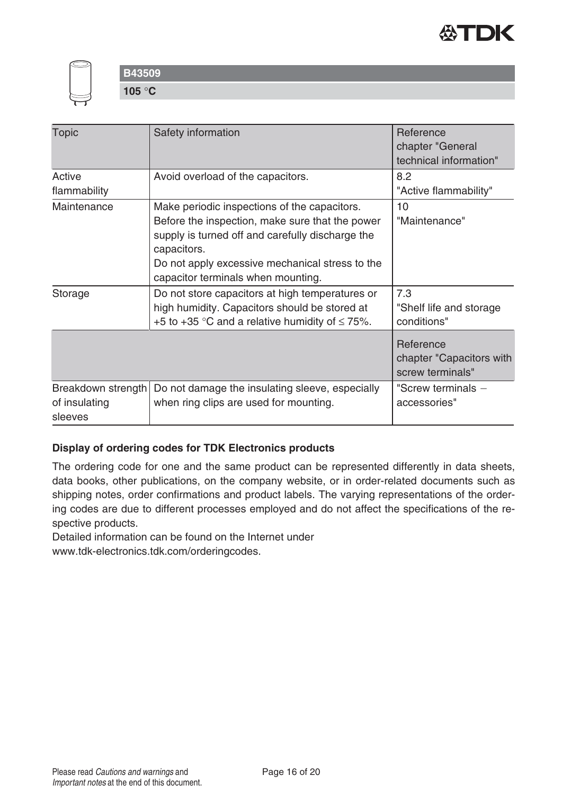



**105** °**C**

| <b>Topic</b><br>Active<br>flammability         | Safety information<br>Avoid overload of the capacitors.                                                                                                                                                                                                     | Reference<br>chapter "General<br>technical information"<br>8.2<br>"Active flammability" |
|------------------------------------------------|-------------------------------------------------------------------------------------------------------------------------------------------------------------------------------------------------------------------------------------------------------------|-----------------------------------------------------------------------------------------|
| Maintenance                                    | Make periodic inspections of the capacitors.<br>Before the inspection, make sure that the power<br>supply is turned off and carefully discharge the<br>capacitors.<br>Do not apply excessive mechanical stress to the<br>capacitor terminals when mounting. | 10<br>"Maintenance"                                                                     |
| Storage                                        | Do not store capacitors at high temperatures or<br>high humidity. Capacitors should be stored at<br>+5 to +35 °C and a relative humidity of $\leq$ 75%.                                                                                                     | 7.3<br>"Shelf life and storage<br>conditions"                                           |
|                                                |                                                                                                                                                                                                                                                             | Reference<br>chapter "Capacitors with<br>screw terminals"                               |
| Breakdown strength<br>of insulating<br>sleeves | Do not damage the insulating sleeve, especially<br>when ring clips are used for mounting.                                                                                                                                                                   | "Screw terminals -<br>accessories"                                                      |

### **Display of ordering codes for TDK Electronics products**

The ordering code for one and the same product can be represented differently in data sheets, data books, other publications, on the company website, or in order-related documents such as shipping notes, order confirmations and product labels. The varying representations of the ordering codes are due to different processes employed and do not affect the specifications of the respective products.

Detailed information can be found on the Internet under

www.tdk-electronics.tdk.com/orderingcodes.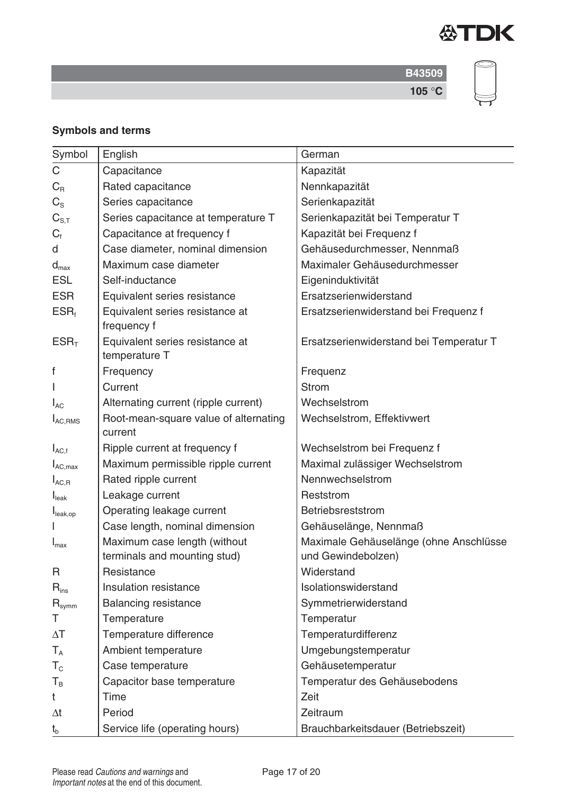



# **Symbols and terms**

| Symbol                      | English                                                      | German                                                       |
|-----------------------------|--------------------------------------------------------------|--------------------------------------------------------------|
| C                           | Capacitance                                                  | Kapazität                                                    |
| $C_{R}$                     | Rated capacitance                                            | Nennkapazität                                                |
| $C_{\rm S}$                 | Series capacitance                                           | Serienkapazität                                              |
| $C_{S,T}$                   | Series capacitance at temperature T                          | Serienkapazität bei Temperatur T                             |
| $C_{\text{f}}$              | Capacitance at frequency f                                   | Kapazität bei Frequenz f                                     |
| d                           | Case diameter, nominal dimension                             | Gehäusedurchmesser, Nennmaß                                  |
| $d_{\text{max}}$            | Maximum case diameter                                        | Maximaler Gehäusedurchmesser                                 |
| <b>ESL</b>                  | Self-inductance                                              | Eigeninduktivität                                            |
| <b>ESR</b>                  | Equivalent series resistance                                 | Ersatzserienwiderstand                                       |
| $ESR_t$                     | Equivalent series resistance at<br>frequency f               | Ersatzserienwiderstand bei Frequenz f                        |
| ESR <sub>T</sub>            | Equivalent series resistance at<br>temperature T             | Ersatzserienwiderstand bei Temperatur T                      |
| f                           | Frequency                                                    | Frequenz                                                     |
|                             | Current                                                      | <b>Strom</b>                                                 |
| $I_{AC}$                    | Alternating current (ripple current)                         | Wechselstrom                                                 |
| $I_{AC,RMS}$                | Root-mean-square value of alternating<br>current             | Wechselstrom, Effektivwert                                   |
| $I_{AC,f}$                  | Ripple current at frequency f                                | Wechselstrom bei Frequenz f                                  |
| $I_{AC,max}$                | Maximum permissible ripple current                           | Maximal zulässiger Wechselstrom                              |
| $I_{AC,R}$                  | Rated ripple current                                         | Nennwechselstrom                                             |
| $I_{\text{leak}}$           | Leakage current                                              | Reststrom                                                    |
| I <sub>leak,op</sub>        | Operating leakage current                                    | Betriebsreststrom                                            |
|                             | Case length, nominal dimension                               | Gehäuselänge, Nennmaß                                        |
| $I_{\text{max}}$            | Maximum case length (without<br>terminals and mounting stud) | Maximale Gehäuselänge (ohne Anschlüsse<br>und Gewindebolzen) |
| R                           | Resistance                                                   | Widerstand                                                   |
| $\mathsf{R}_{\mathsf{ins}}$ | Insulation resistance                                        | Isolationswiderstand                                         |
| $R_{symm}$                  | <b>Balancing resistance</b>                                  | Symmetrierwiderstand                                         |
| Τ                           | Temperature                                                  | Temperatur                                                   |
| $\Delta T$                  | Temperature difference                                       | Temperaturdifferenz                                          |
| $T_A$                       | Ambient temperature                                          | Umgebungstemperatur                                          |
| $T_{\rm c}$                 | Case temperature                                             | Gehäusetemperatur                                            |
| $T_B$                       | Capacitor base temperature                                   | Temperatur des Gehäusebodens                                 |
| t                           | Time                                                         | Zeit                                                         |
| $\Delta t$                  | Period                                                       | Zeitraum                                                     |
| $t_{b}$                     | Service life (operating hours)                               | Brauchbarkeitsdauer (Betriebszeit)                           |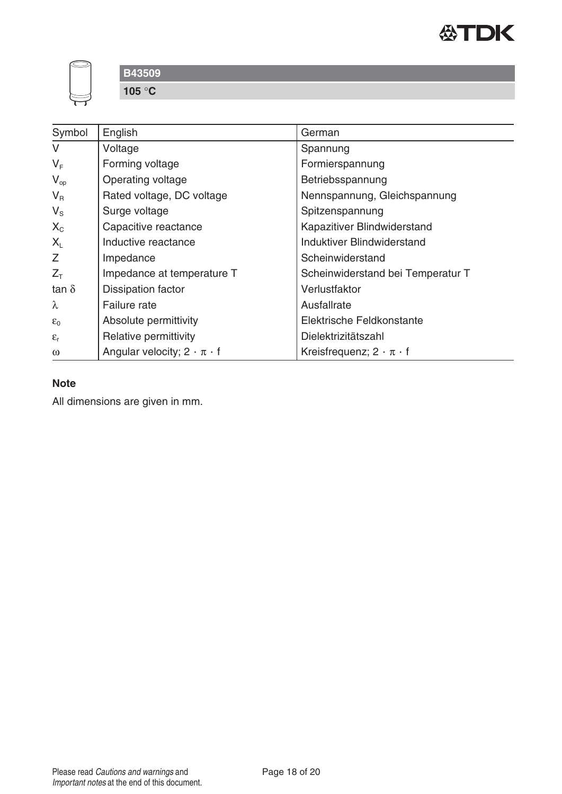

**105** °**C**

| Symbol                      | English                                 | German                               |
|-----------------------------|-----------------------------------------|--------------------------------------|
| $\vee$                      | Voltage                                 | Spannung                             |
| $V_F$                       | Forming voltage                         | Formierspannung                      |
| $V_{op}$                    | Operating voltage                       | Betriebsspannung                     |
| $V_{R}$                     | Rated voltage, DC voltage               | Nennspannung, Gleichspannung         |
| $V_{\rm S}$                 | Surge voltage                           | Spitzenspannung                      |
| $X_{C}$                     | Capacitive reactance                    | Kapazitiver Blindwiderstand          |
| $X_{L}$                     | Inductive reactance                     | Induktiver Blindwiderstand           |
| $\mathcal{L}_{\mathcal{L}}$ | Impedance                               | Scheinwiderstand                     |
| $Z_T$                       | Impedance at temperature T              | Scheinwiderstand bei Temperatur T    |
| tan $\delta$                | Dissipation factor                      | Verlustfaktor                        |
| $\lambda$                   | Failure rate                            | Ausfallrate                          |
| $\varepsilon_0$             | Absolute permittivity                   | Elektrische Feldkonstante            |
| $\varepsilon_{r}$           | Relative permittivity                   | Dielektrizitätszahl                  |
| $\omega$                    | Angular velocity; $2 \cdot \pi \cdot f$ | Kreisfrequenz; $2 \cdot \pi \cdot f$ |

# **Note**

All dimensions are given in mm.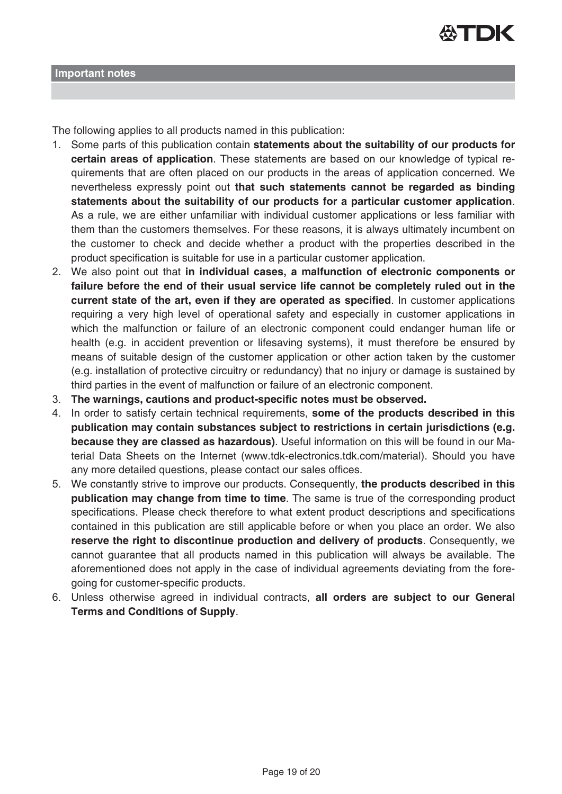

The following applies to all products named in this publication:

- 1. Some parts of this publication contain **statements about the suitability of our products for certain areas of application**. These statements are based on our knowledge of typical requirements that are often placed on our products in the areas of application concerned. We nevertheless expressly point out **that such statements cannot be regarded as binding statements about the suitability of our products for a particular customer application**. As a rule, we are either unfamiliar with individual customer applications or less familiar with them than the customers themselves. For these reasons, it is always ultimately incumbent on the customer to check and decide whether a product with the properties described in the product specification is suitable for use in a particular customer application.
- 2. We also point out that **in individual cases, a malfunction of electronic components or failure before the end of their usual service life cannot be completely ruled out in the current state of the art, even if they are operated as specified**. In customer applications requiring a very high level of operational safety and especially in customer applications in which the malfunction or failure of an electronic component could endanger human life or health (e.g. in accident prevention or lifesaving systems), it must therefore be ensured by means of suitable design of the customer application or other action taken by the customer (e.g. installation of protective circuitry or redundancy) that no injury or damage is sustained by third parties in the event of malfunction or failure of an electronic component.
- 3. **The warnings, cautions and product-specific notes must be observed.**
- 4. In order to satisfy certain technical requirements, **some of the products described in this publication may contain substances subject to restrictions in certain jurisdictions (e.g. because they are classed as hazardous)**. Useful information on this will be found in our Material Data Sheets on the Internet (www.tdk-electronics.tdk.com/material). Should you have any more detailed questions, please contact our sales offices.
- 5. We constantly strive to improve our products. Consequently, **the products described in this publication may change from time to time**. The same is true of the corresponding product specifications. Please check therefore to what extent product descriptions and specifications contained in this publication are still applicable before or when you place an order. We also **reserve the right to discontinue production and delivery of products**. Consequently, we cannot guarantee that all products named in this publication will always be available. The aforementioned does not apply in the case of individual agreements deviating from the foregoing for customer-specific products.
- 6. Unless otherwise agreed in individual contracts, **all orders are subject to our General Terms and Conditions of Supply**.